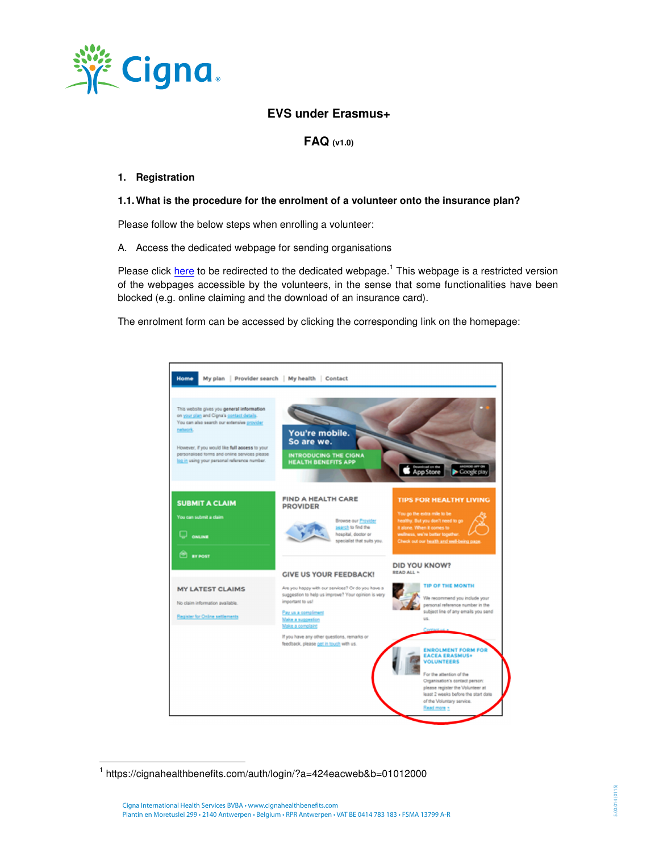

# **EVS under Erasmus+**

**FAQ (v1.0)**

# **1. Registration**

#### **1.1. What is the procedure for the enrolment of a volunteer onto the insurance plan?**

Please follow the below steps when enrolling a volunteer:

A. Access the dedicated webpage for sending organisations

Please click here to be redirected to the dedicated webpage.<sup>1</sup> This webpage is a restricted version of the webpages accessible by the volunteers, in the sense that some functionalities have been blocked (e.g. online claiming and the download of an insurance card).

The enrolment form can be accessed by clicking the corresponding link on the homepage:



<sup>1</sup> https://cignahealthbenefits.com/auth/login/?a=424eacweb&b=01012000

 $\overline{a}$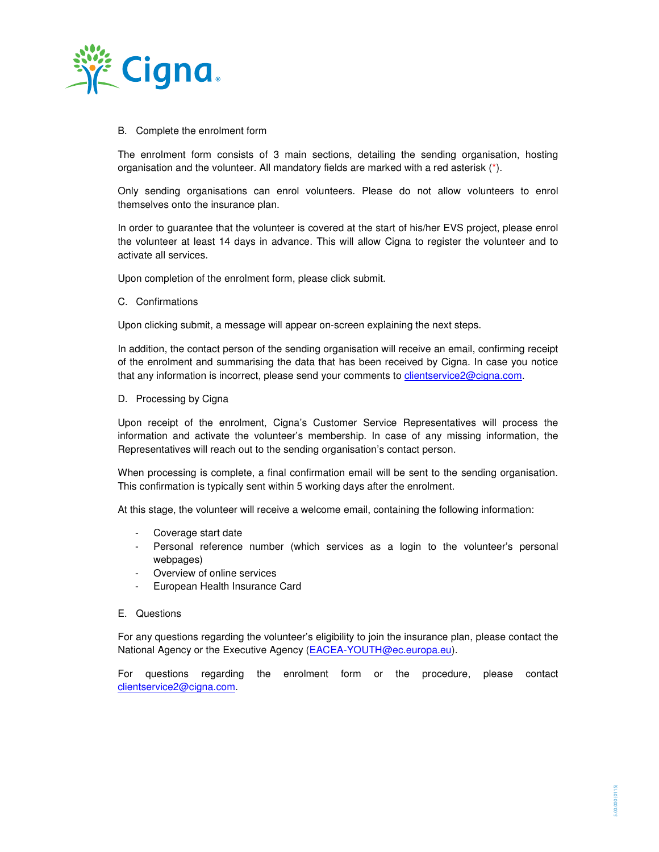

# B. Complete the enrolment form

The enrolment form consists of 3 main sections, detailing the sending organisation, hosting organisation and the volunteer. All mandatory fields are marked with a red asterisk (\*).

Only sending organisations can enrol volunteers. Please do not allow volunteers to enrol themselves onto the insurance plan.

In order to guarantee that the volunteer is covered at the start of his/her EVS project, please enrol the volunteer at least 14 days in advance. This will allow Cigna to register the volunteer and to activate all services.

Upon completion of the enrolment form, please click submit.

C. Confirmations

Upon clicking submit, a message will appear on-screen explaining the next steps.

In addition, the contact person of the sending organisation will receive an email, confirming receipt of the enrolment and summarising the data that has been received by Cigna. In case you notice that any information is incorrect, please send your comments to clientservice2@cigna.com.

D. Processing by Cigna

Upon receipt of the enrolment, Cigna's Customer Service Representatives will process the information and activate the volunteer's membership. In case of any missing information, the Representatives will reach out to the sending organisation's contact person.

When processing is complete, a final confirmation email will be sent to the sending organisation. This confirmation is typically sent within 5 working days after the enrolment.

At this stage, the volunteer will receive a welcome email, containing the following information:

- Coverage start date
- Personal reference number (which services as a login to the volunteer's personal webpages)
- Overview of online services
- European Health Insurance Card
- E. Questions

For any questions regarding the volunteer's eligibility to join the insurance plan, please contact the National Agency or the Executive Agency (EACEA-YOUTH@ec.europa.eu).

For questions regarding the enrolment form or the procedure, please contact clientservice2@cigna.com.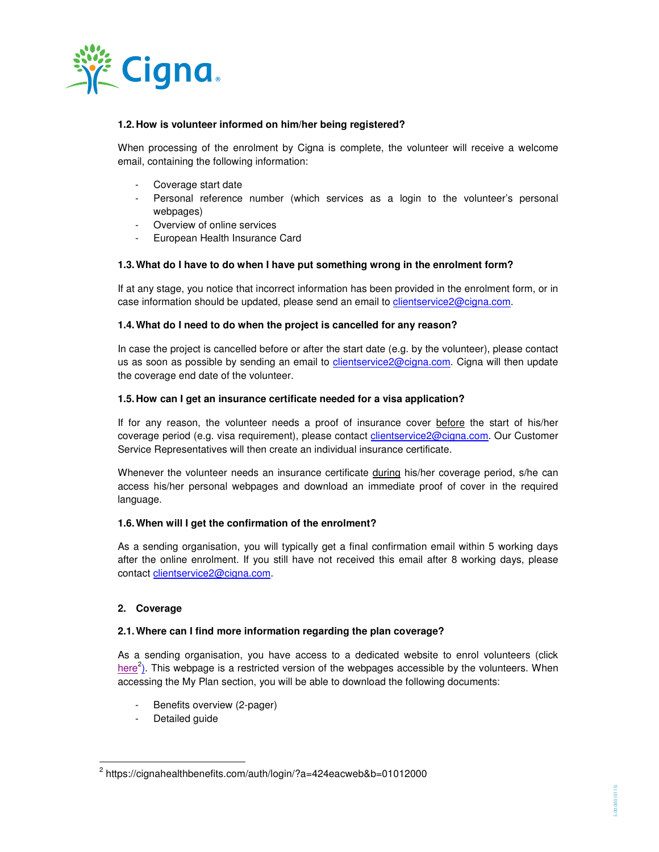

# **1.2. How is volunteer informed on him/her being registered?**

When processing of the enrolment by Cigna is complete, the volunteer will receive a welcome email, containing the following information:

- Coverage start date
- Personal reference number (which services as a login to the volunteer's personal webpages)
- Overview of online services
- European Health Insurance Card

#### **1.3. What do I have to do when I have put something wrong in the enrolment form?**

If at any stage, you notice that incorrect information has been provided in the enrolment form, or in case information should be updated, please send an email to clientservice2@cigna.com.

# **1.4. What do I need to do when the project is cancelled for any reason?**

In case the project is cancelled before or after the start date (e.g. by the volunteer), please contact us as soon as possible by sending an email to clientservice2@cigna.com. Cigna will then update the coverage end date of the volunteer.

#### **1.5. How can I get an insurance certificate needed for a visa application?**

If for any reason, the volunteer needs a proof of insurance cover before the start of his/her coverage period (e.g. visa requirement), please contact clientservice2@cigna.com. Our Customer Service Representatives will then create an individual insurance certificate.

Whenever the volunteer needs an insurance certificate during his/her coverage period, s/he can access his/her personal webpages and download an immediate proof of cover in the required language.

#### **1.6. When will I get the confirmation of the enrolment?**

As a sending organisation, you will typically get a final confirmation email within 5 working days after the online enrolment. If you still have not received this email after 8 working days, please contact clientservice2@cigna.com.

# **2. Coverage**

 $\overline{a}$ 

#### **2.1. Where can I find more information regarding the plan coverage?**

As a sending organisation, you have access to a dedicated website to enrol volunteers (click here<sup>2</sup>). This webpage is a restricted version of the webpages accessible by the volunteers. When accessing the My Plan section, you will be able to download the following documents:

- Benefits overview (2-pager)
- Detailed guide

<sup>&</sup>lt;sup>2</sup> https://cignahealthbenefits.com/auth/login/?a=424eacweb&b=01012000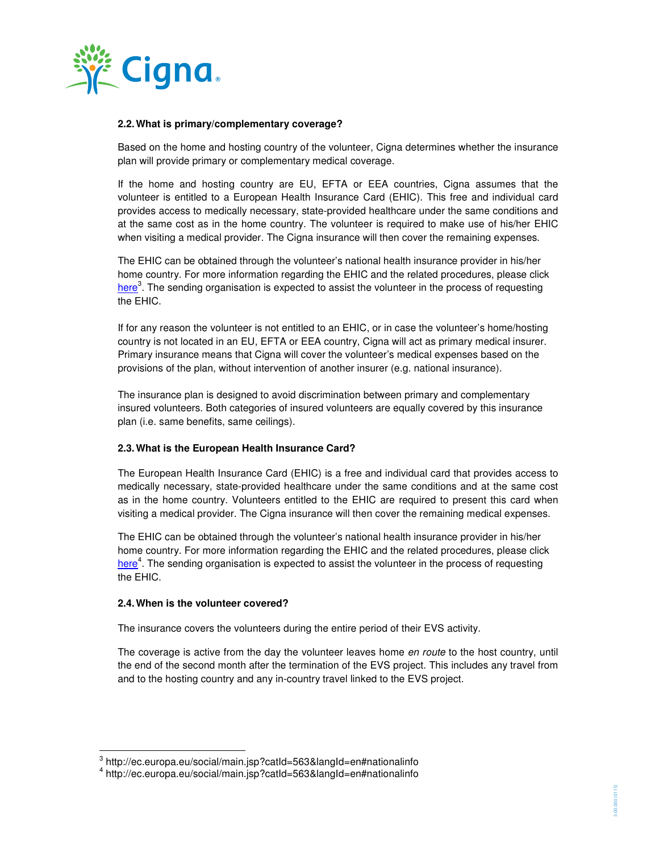

# **2.2. What is primary/complementary coverage?**

Based on the home and hosting country of the volunteer, Cigna determines whether the insurance plan will provide primary or complementary medical coverage.

If the home and hosting country are EU, EFTA or EEA countries, Cigna assumes that the volunteer is entitled to a European Health Insurance Card (EHIC). This free and individual card provides access to medically necessary, state-provided healthcare under the same conditions and at the same cost as in the home country. The volunteer is required to make use of his/her EHIC when visiting a medical provider. The Cigna insurance will then cover the remaining expenses.

The EHIC can be obtained through the volunteer's national health insurance provider in his/her home country. For more information regarding the EHIC and the related procedures, please click here<sup>3</sup>. The sending organisation is expected to assist the volunteer in the process of requesting the EHIC.

If for any reason the volunteer is not entitled to an EHIC, or in case the volunteer's home/hosting country is not located in an EU, EFTA or EEA country, Cigna will act as primary medical insurer. Primary insurance means that Cigna will cover the volunteer's medical expenses based on the provisions of the plan, without intervention of another insurer (e.g. national insurance).

The insurance plan is designed to avoid discrimination between primary and complementary insured volunteers. Both categories of insured volunteers are equally covered by this insurance plan (i.e. same benefits, same ceilings).

# **2.3. What is the European Health Insurance Card?**

The European Health Insurance Card (EHIC) is a free and individual card that provides access to medically necessary, state-provided healthcare under the same conditions and at the same cost as in the home country. Volunteers entitled to the EHIC are required to present this card when visiting a medical provider. The Cigna insurance will then cover the remaining medical expenses.

The EHIC can be obtained through the volunteer's national health insurance provider in his/her home country. For more information regarding the EHIC and the related procedures, please click here<sup>4</sup>. The sending organisation is expected to assist the volunteer in the process of requesting the EHIC.

#### **2.4. When is the volunteer covered?**

 $\overline{a}$ 

The insurance covers the volunteers during the entire period of their EVS activity.

The coverage is active from the day the volunteer leaves home en route to the host country, until the end of the second month after the termination of the EVS project. This includes any travel from and to the hosting country and any in-country travel linked to the EVS project.

<sup>&</sup>lt;sup>3</sup> http://ec.europa.eu/social/main.jsp?catId=563&langId=en#nationalinfo

<sup>4</sup> http://ec.europa.eu/social/main.jsp?catId=563&langId=en#nationalinfo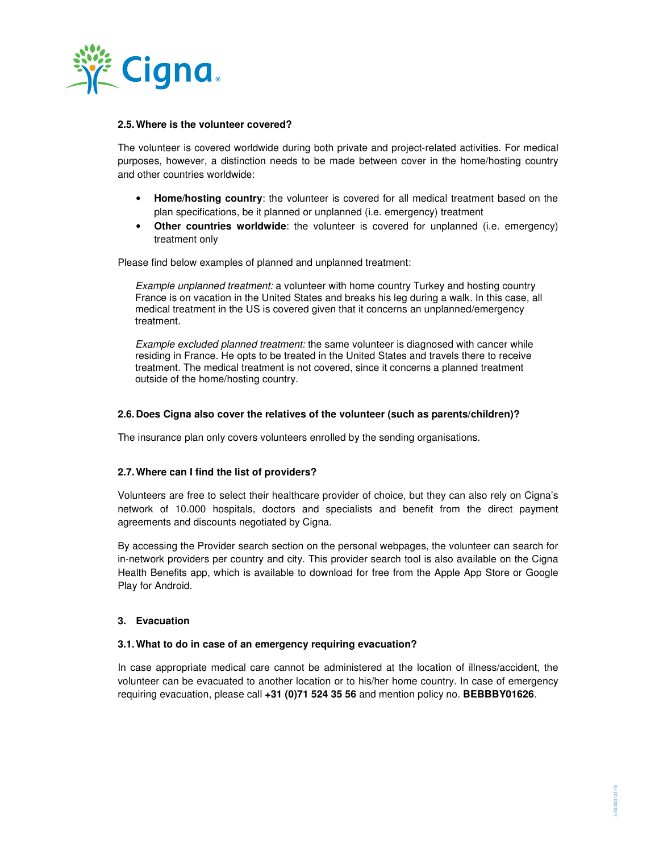

#### **2.5. Where is the volunteer covered?**

The volunteer is covered worldwide during both private and project-related activities. For medical purposes, however, a distinction needs to be made between cover in the home/hosting country and other countries worldwide:

- **Home/hosting country**: the volunteer is covered for all medical treatment based on the plan specifications, be it planned or unplanned (i.e. emergency) treatment
- **Other countries worldwide**: the volunteer is covered for unplanned (i.e. emergency) treatment only

Please find below examples of planned and unplanned treatment:

Example unplanned treatment: a volunteer with home country Turkey and hosting country France is on vacation in the United States and breaks his leg during a walk. In this case, all medical treatment in the US is covered given that it concerns an unplanned/emergency treatment.

Example excluded planned treatment: the same volunteer is diagnosed with cancer while residing in France. He opts to be treated in the United States and travels there to receive treatment. The medical treatment is not covered, since it concerns a planned treatment outside of the home/hosting country.

# **2.6. Does Cigna also cover the relatives of the volunteer (such as parents/children)?**

The insurance plan only covers volunteers enrolled by the sending organisations.

#### **2.7. Where can I find the list of providers?**

Volunteers are free to select their healthcare provider of choice, but they can also rely on Cigna's network of 10.000 hospitals, doctors and specialists and benefit from the direct payment agreements and discounts negotiated by Cigna.

By accessing the Provider search section on the personal webpages, the volunteer can search for in-network providers per country and city. This provider search tool is also available on the Cigna Health Benefits app, which is available to download for free from the Apple App Store or Google Play for Android.

# **3. Evacuation**

#### **3.1. What to do in case of an emergency requiring evacuation?**

In case appropriate medical care cannot be administered at the location of illness/accident, the volunteer can be evacuated to another location or to his/her home country. In case of emergency requiring evacuation, please call **+31 (0)71 524 35 56** and mention policy no. **BEBBBY01626**.